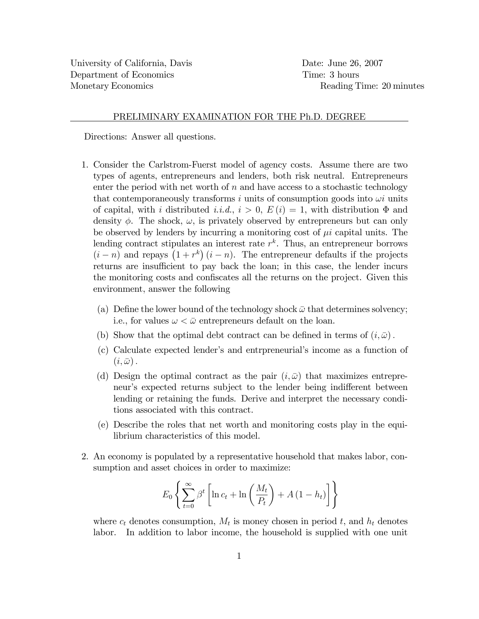## PRELIMINARY EXAMINATION FOR THE Ph.D. DEGREE

Directions: Answer all questions.

- 1. Consider the Carlstrom-Fuerst model of agency costs. Assume there are two types of agents, entrepreneurs and lenders, both risk neutral. Entrepreneurs enter the period with net worth of  $n$  and have access to a stochastic technology that contemporaneously transforms i units of consumption goods into  $\omega i$  units of capital, with i distributed i.i.d.,  $i > 0$ ,  $E(i) = 1$ , with distribution  $\Phi$  and density  $\phi$ . The shock,  $\omega$ , is privately observed by entrepreneurs but can only be observed by lenders by incurring a monitoring cost of  $\mu i$  capital units. The lending contract stipulates an interest rate  $r^k$ . Thus, an entrepreneur borrows  $(i - n)$  and repays  $(1 + r^k)(i - n)$ . The entrepreneur defaults if the projects returns are insufficient to pay back the loan; in this case, the lender incurs the monitoring costs and confiscates all the returns on the project. Given this environment, answer the following
	- (a) Define the lower bound of the technology shock  $\bar{\omega}$  that determines solvency; i.e., for values  $\omega < \bar{\omega}$  entrepreneurs default on the loan.
	- (b) Show that the optimal debt contract can be defined in terms of  $(i, \bar{\omega})$ .
	- (c) Calculate expected lenderís and entrpreneurialís income as a function of  $(i,\bar{\omega})$ .
	- (d) Design the optimal contract as the pair  $(i, \bar{\omega})$  that maximizes entrepreneur's expected returns subject to the lender being indifferent between lending or retaining the funds. Derive and interpret the necessary conditions associated with this contract.
	- (e) Describe the roles that net worth and monitoring costs play in the equilibrium characteristics of this model.
- 2. An economy is populated by a representative household that makes labor, consumption and asset choices in order to maximize:

$$
E_0 \left\{ \sum_{t=0}^{\infty} \beta^t \left[ \ln c_t + \ln \left( \frac{M_t}{P_t} \right) + A \left( 1 - h_t \right) \right] \right\}
$$

where  $c_t$  denotes consumption,  $M_t$  is money chosen in period t, and  $h_t$  denotes labor. In addition to labor income, the household is supplied with one unit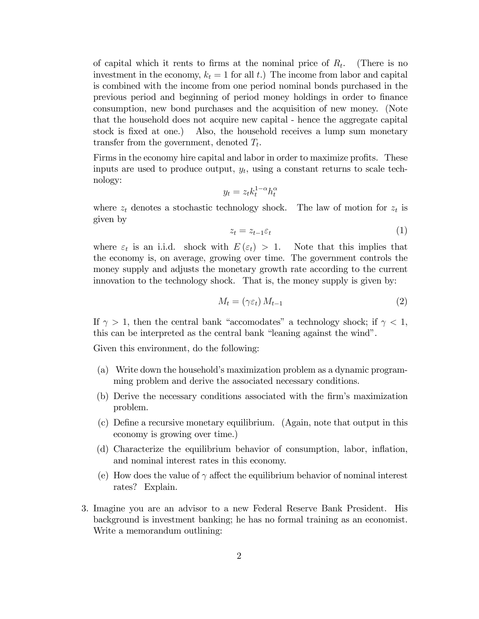of capital which it rents to firms at the nominal price of  $R_t$ . (There is no investment in the economy,  $k_t = 1$  for all t.) The income from labor and capital is combined with the income from one period nominal bonds purchased in the previous period and beginning of period money holdings in order to Önance consumption, new bond purchases and the acquisition of new money. (Note that the household does not acquire new capital - hence the aggregate capital stock is fixed at one.) Also, the household receives a lump sum monetary transfer from the government, denoted  $T_t$ .

Firms in the economy hire capital and labor in order to maximize profits. These inputs are used to produce output,  $y_t$ , using a constant returns to scale technology:

$$
y_t = z_t k_t^{1-\alpha} h_t^{\alpha}
$$

where  $z_t$  denotes a stochastic technology shock. The law of motion for  $z_t$  is given by

$$
z_t = z_{t-1} \varepsilon_t \tag{1}
$$

where  $\varepsilon_t$  is an i.i.d. shock with  $E(\varepsilon_t) > 1$ . Note that this implies that the economy is, on average, growing over time. The government controls the money supply and adjusts the monetary growth rate according to the current innovation to the technology shock. That is, the money supply is given by:

$$
M_t = (\gamma \varepsilon_t) M_{t-1} \tag{2}
$$

If  $\gamma > 1$ , then the central bank "accomodates" a technology shock; if  $\gamma < 1$ , this can be interpreted as the central bank "leaning against the wind".

Given this environment, do the following:

- (a) Write down the household's maximization problem as a dynamic programming problem and derive the associated necessary conditions.
- (b) Derive the necessary conditions associated with the firm's maximization problem.
- (c) DeÖne a recursive monetary equilibrium. (Again, note that output in this economy is growing over time.)
- (d) Characterize the equilibrium behavior of consumption, labor, ináation, and nominal interest rates in this economy.
- (e) How does the value of  $\gamma$  affect the equilibrium behavior of nominal interest rates? Explain.
- 3. Imagine you are an advisor to a new Federal Reserve Bank President. His background is investment banking; he has no formal training as an economist. Write a memorandum outlining: